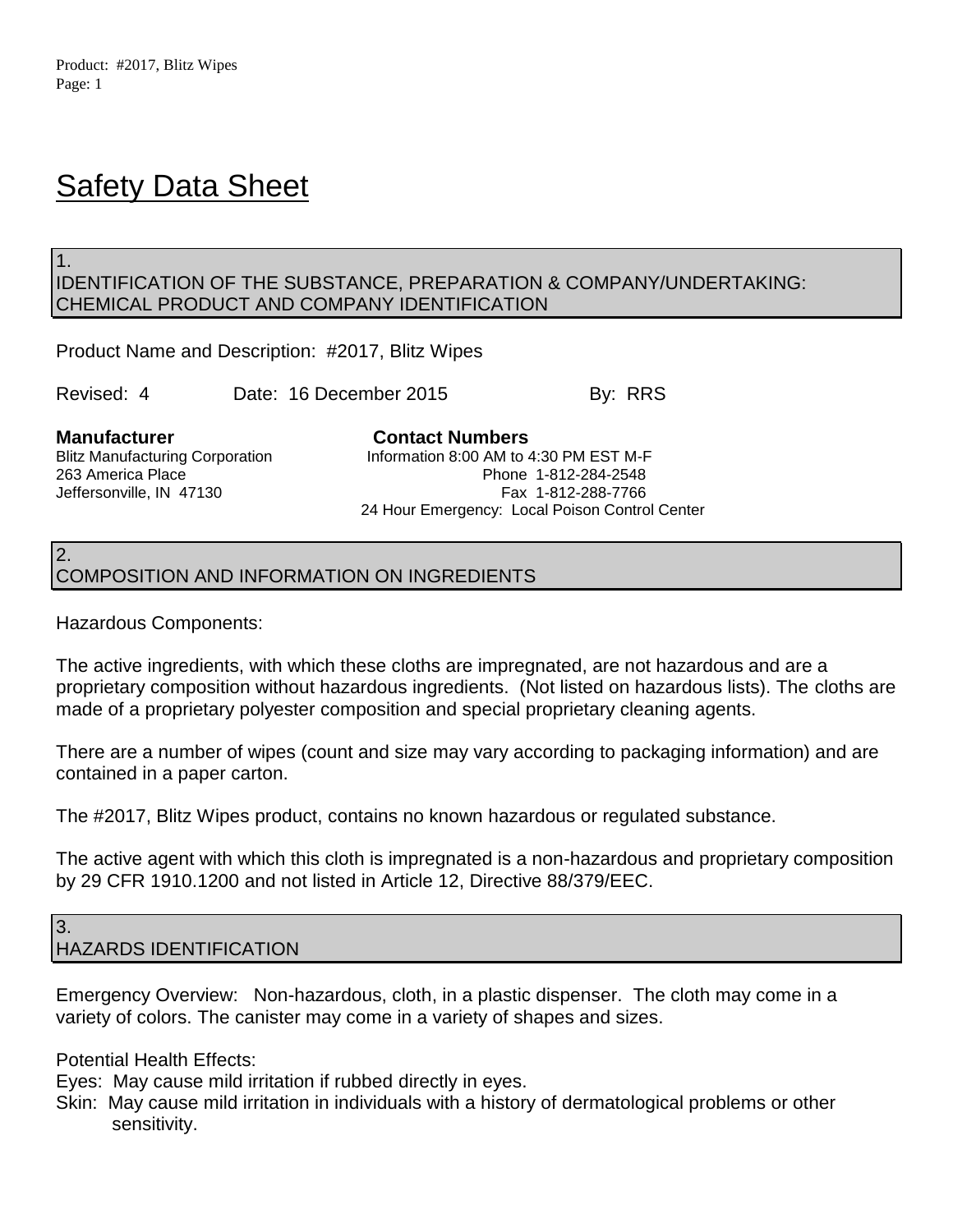1.

# **Safety Data Sheet**

### IDENTIFICATION OF THE SUBSTANCE, PREPARATION & COMPANY/UNDERTAKING: CHEMICAL PRODUCT AND COMPANY IDENTIFICATION

Product Name and Description: #2017, Blitz Wipes

Revised: 4 Date: 16 December 2015 By: RRS

**Manufacturer Contact Numbers**

Blitz Manufacturing Corporation **Information 8:00 AM to 4:30 PM EST M-F** 263 America Place Phone 1-812-284-2548 Jeffersonville, IN 47130 Fax 1-812-288-7766 24 Hour Emergency: Local Poison Control Center

### 2. COMPOSITION AND INFORMATION ON INGREDIENTS

Hazardous Components:

The active ingredients, with which these cloths are impregnated, are not hazardous and are a proprietary composition without hazardous ingredients. (Not listed on hazardous lists). The cloths are made of a proprietary polyester composition and special proprietary cleaning agents.

There are a number of wipes (count and size may vary according to packaging information) and are contained in a paper carton.

The #2017, Blitz Wipes product, contains no known hazardous or regulated substance.

The active agent with which this cloth is impregnated is a non-hazardous and proprietary composition by 29 CFR 1910.1200 and not listed in Article 12, Directive 88/379/EEC.

3. HAZARDS IDENTIFICATION

Emergency Overview: Non-hazardous, cloth, in a plastic dispenser. The cloth may come in a variety of colors. The canister may come in a variety of shapes and sizes.

Potential Health Effects:

Eyes: May cause mild irritation if rubbed directly in eyes.

Skin: May cause mild irritation in individuals with a history of dermatological problems or other sensitivity.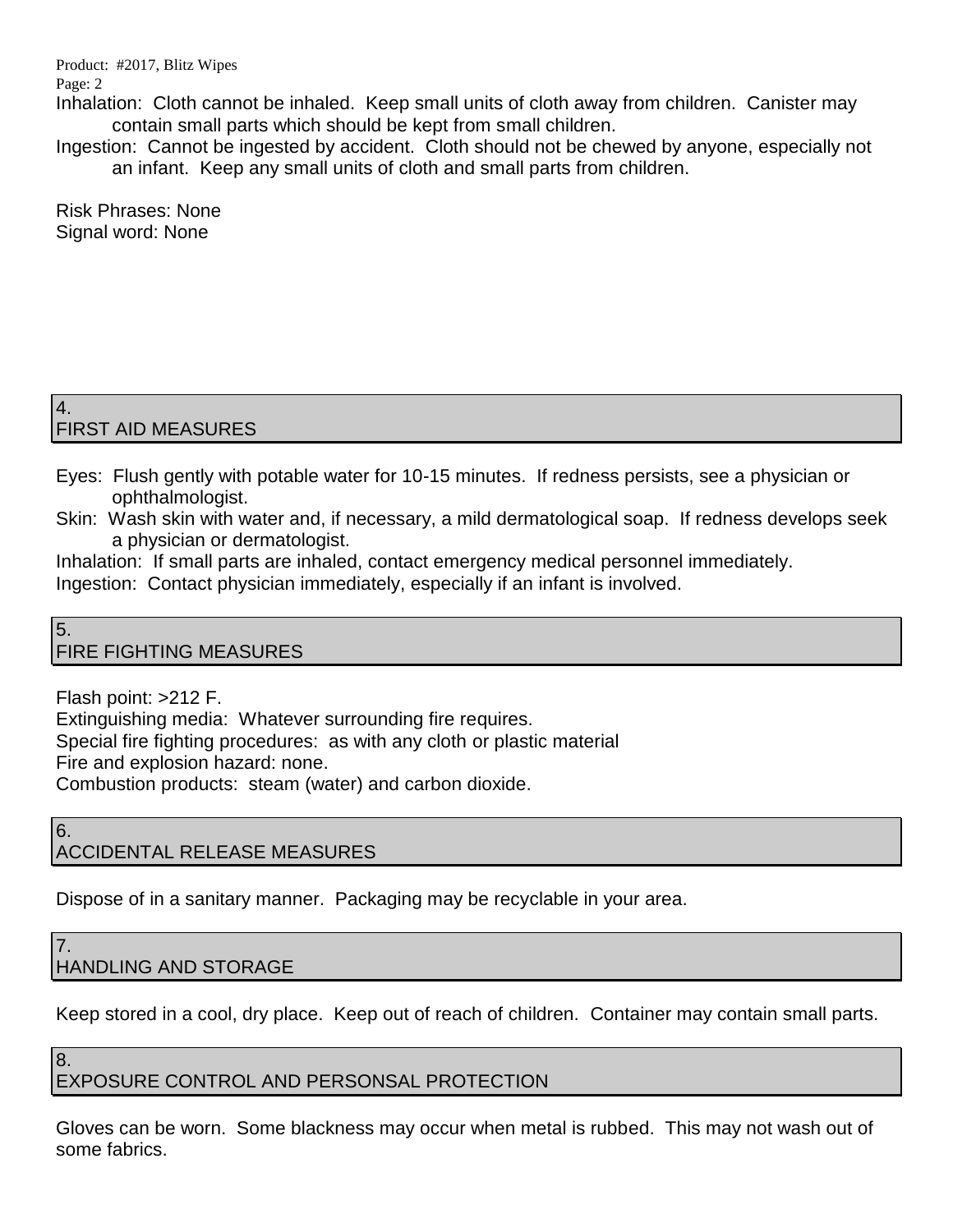Product: #2017, Blitz Wipes

Page: 2

Inhalation: Cloth cannot be inhaled. Keep small units of cloth away from children. Canister may contain small parts which should be kept from small children.

Ingestion: Cannot be ingested by accident. Cloth should not be chewed by anyone, especially not an infant. Keep any small units of cloth and small parts from children.

Risk Phrases: None Signal word: None

### 4. FIRST AID MEASURES

- Eyes: Flush gently with potable water for 10-15 minutes. If redness persists, see a physician or ophthalmologist.
- Skin: Wash skin with water and, if necessary, a mild dermatological soap. If redness develops seek a physician or dermatologist.

Inhalation: If small parts are inhaled, contact emergency medical personnel immediately. Ingestion: Contact physician immediately, especially if an infant is involved.

#### 5. FIRE FIGHTING MEASURES

Flash point: >212 F.

Extinguishing media: Whatever surrounding fire requires.

Special fire fighting procedures: as with any cloth or plastic material

Fire and explosion hazard: none.

Combustion products: steam (water) and carbon dioxide.

### 6. ACCIDENTAL RELEASE MEASURES

Dispose of in a sanitary manner. Packaging may be recyclable in your area.

### 7. HANDLING AND STORAGE

8.

Keep stored in a cool, dry place. Keep out of reach of children. Container may contain small parts.

# EXPOSURE CONTROL AND PERSONSAL PROTECTION

Gloves can be worn. Some blackness may occur when metal is rubbed. This may not wash out of some fabrics.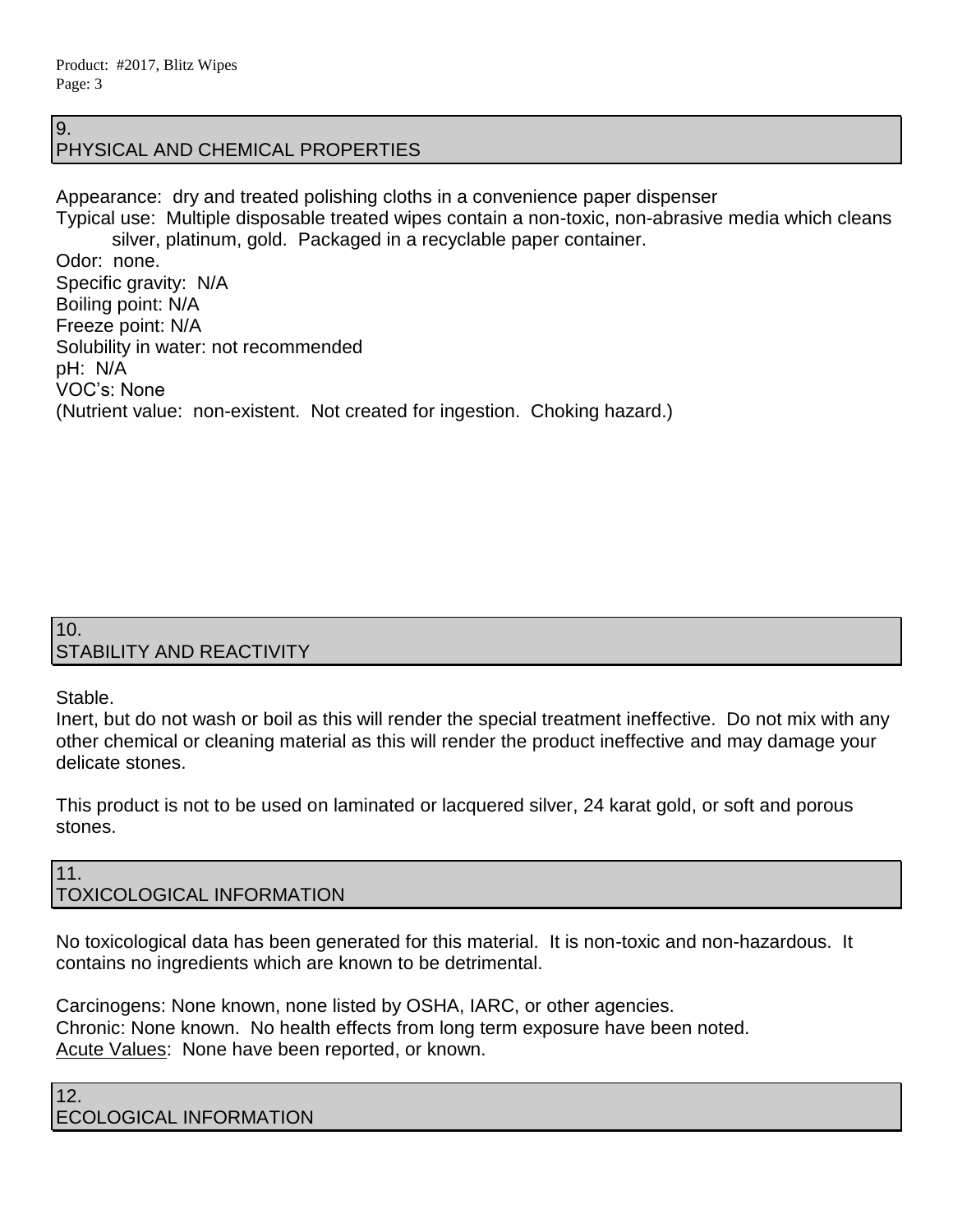9.

## PHYSICAL AND CHEMICAL PROPERTIES

Appearance: dry and treated polishing cloths in a convenience paper dispenser Typical use: Multiple disposable treated wipes contain a non-toxic, non-abrasive media which cleans silver, platinum, gold. Packaged in a recyclable paper container. Odor: none. Specific gravity: N/A Boiling point: N/A Freeze point: N/A Solubility in water: not recommended pH: N/A VOC's: None (Nutrient value: non-existent. Not created for ingestion. Choking hazard.)

### 10. STABILITY AND REACTIVITY

Stable.

Inert, but do not wash or boil as this will render the special treatment ineffective. Do not mix with any other chemical or cleaning material as this will render the product ineffective and may damage your delicate stones.

This product is not to be used on laminated or lacquered silver, 24 karat gold, or soft and porous stones.

### 11. TOXICOLOGICAL INFORMATION

No toxicological data has been generated for this material. It is non-toxic and non-hazardous. It contains no ingredients which are known to be detrimental.

Carcinogens: None known, none listed by OSHA, IARC, or other agencies. Chronic: None known. No health effects from long term exposure have been noted. Acute Values: None have been reported, or known.

12. ECOLOGICAL INFORMATION